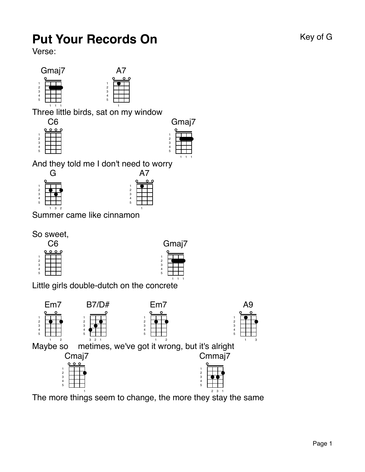## **Put Your Records On Key of G** Key of G

Verse:



Three little birds, s at on my window

| 12345 |  |  |  |  |
|-------|--|--|--|--|
|       |  |  |  |  |
|       |  |  |  |  |
|       |  |  |  |  |



And they told me I don't need to wo rry





Summer came like cinna mon

So sweet,





Little girls double-dutch on the co ncrete



The m ore things seem to change, the more they stay the same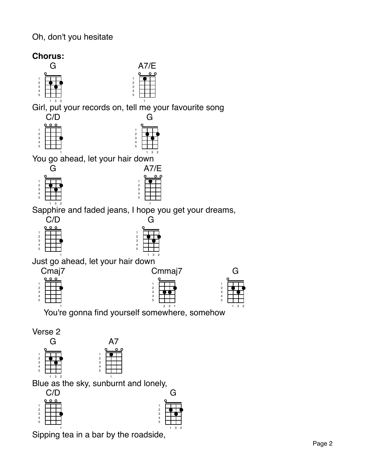## Oh, don't you hesitate





Blue as the sky, sunburnt and lonely,  $C/D$ 

| ノル     |  |  |  |  |
|--------|--|--|--|--|
| ο<br>۰ |  |  |  |  |
|        |  |  |  |  |
|        |  |  |  |  |
|        |  |  |  |  |
| 12345  |  |  |  |  |
|        |  |  |  |  |
|        |  |  |  |  |

Sipping tea in a bar by the roads ide,

G

G

3 2

3 2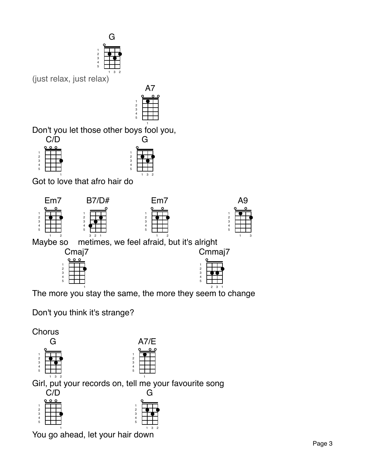

(just relax, just r elax)



Don't you let those other b oys fool you,

![](_page_2_Figure_4.jpeg)

![](_page_2_Figure_5.jpeg)

Got to love that afro hair do

![](_page_2_Figure_7.jpeg)

![](_page_2_Figure_8.jpeg)

![](_page_2_Figure_9.jpeg)

![](_page_2_Figure_10.jpeg)

Maybe so metimes, we feel afraid, but it's alright

![](_page_2_Figure_12.jpeg)

![](_page_2_Figure_13.jpeg)

The m ore you stay the same, the more they seem to change

Don't you think it's strange?

![](_page_2_Figure_16.jpeg)

You go ahead, let your hai r down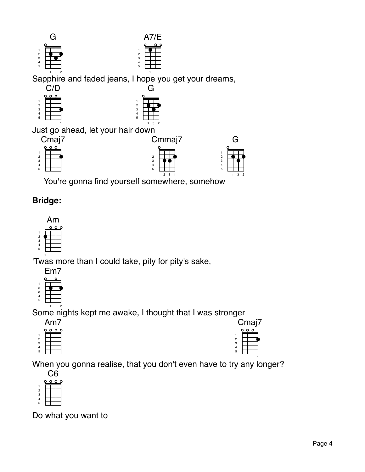![](_page_3_Figure_0.jpeg)

 You're gonna find yourself s omewhere, someh ow 3 1

 

## **Bridge:**

![](_page_3_Figure_3.jpeg)

'Twas more than I could take, pity for pity's sake,

Em7

![](_page_3_Figure_6.jpeg)

 2 Some nights kept me awake, I thought that I was stronger

![](_page_3_Figure_8.jpeg)

| Jma∣<br>7           |  |  |  |  |
|---------------------|--|--|--|--|
|                     |  |  |  |  |
|                     |  |  |  |  |
| $\frac{1}{2}$ 3 4 5 |  |  |  |  |
|                     |  |  |  |  |
|                     |  |  |  |  |
|                     |  |  |  |  |
|                     |  |  |  |  |

3 2

 

When you gonna realise, that you don't even have to try any longer?

| 12345 |  |  |  |  |
|-------|--|--|--|--|
|       |  |  |  |  |
|       |  |  |  |  |
|       |  |  |  |  |
|       |  |  |  |  |

Do what you want to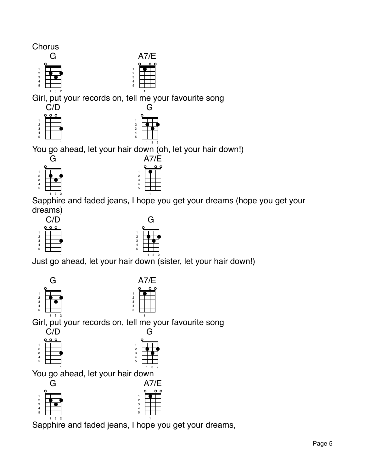![](_page_4_Figure_0.jpeg)

Girl, put your records on, tell me your favourite song 

![](_page_4_Figure_2.jpeg)

![](_page_4_Figure_3.jpeg)

A7/E

You go ahead, let your hair down (oh, let your hair down!)

![](_page_4_Figure_5.jpeg)

A7/E

Sapphire and faded jeans, I hope you get your dreams (hope you get your dreams)

![](_page_4_Figure_8.jpeg)

![](_page_4_Figure_9.jpeg)

Just go ahead, let your hair down<sup>32</sup> (sister, let your hair down!)

![](_page_4_Figure_11.jpeg)

 

![](_page_4_Figure_12.jpeg)

3 2

A7/E

Girl, put your records on, tell me your favourite song G

![](_page_4_Figure_14.jpeg)

 3 2 Sapphire and faded jeans, I hope you get your dreams,